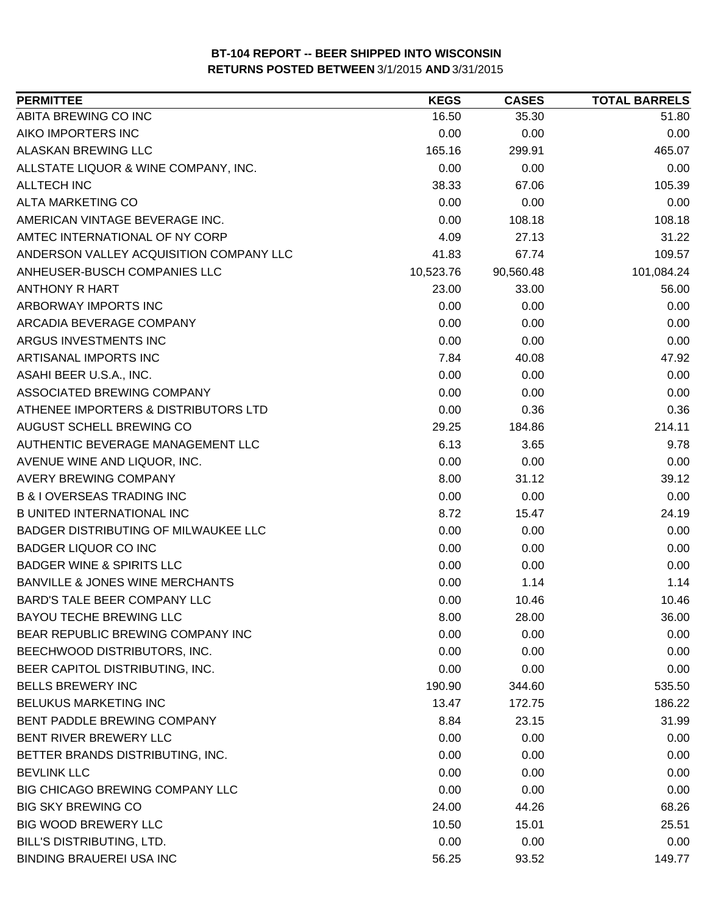| <b>PERMITTEE</b>                           | <b>KEGS</b> | <b>CASES</b> | <b>TOTAL BARRELS</b> |
|--------------------------------------------|-------------|--------------|----------------------|
| ABITA BREWING CO INC                       | 16.50       | 35.30        | 51.80                |
| AIKO IMPORTERS INC                         | 0.00        | 0.00         | 0.00                 |
| ALASKAN BREWING LLC                        | 165.16      | 299.91       | 465.07               |
| ALLSTATE LIQUOR & WINE COMPANY, INC.       | 0.00        | 0.00         | 0.00                 |
| <b>ALLTECH INC</b>                         | 38.33       | 67.06        | 105.39               |
| ALTA MARKETING CO                          | 0.00        | 0.00         | 0.00                 |
| AMERICAN VINTAGE BEVERAGE INC.             | 0.00        | 108.18       | 108.18               |
| AMTEC INTERNATIONAL OF NY CORP             | 4.09        | 27.13        | 31.22                |
| ANDERSON VALLEY ACQUISITION COMPANY LLC    | 41.83       | 67.74        | 109.57               |
| ANHEUSER-BUSCH COMPANIES LLC               | 10,523.76   | 90,560.48    | 101,084.24           |
| <b>ANTHONY R HART</b>                      | 23.00       | 33.00        | 56.00                |
| ARBORWAY IMPORTS INC                       | 0.00        | 0.00         | 0.00                 |
| ARCADIA BEVERAGE COMPANY                   | 0.00        | 0.00         | 0.00                 |
| ARGUS INVESTMENTS INC                      | 0.00        | 0.00         | 0.00                 |
| ARTISANAL IMPORTS INC                      | 7.84        | 40.08        | 47.92                |
| ASAHI BEER U.S.A., INC.                    | 0.00        | 0.00         | 0.00                 |
| ASSOCIATED BREWING COMPANY                 | 0.00        | 0.00         | 0.00                 |
| ATHENEE IMPORTERS & DISTRIBUTORS LTD       | 0.00        | 0.36         | 0.36                 |
| AUGUST SCHELL BREWING CO                   | 29.25       | 184.86       | 214.11               |
| AUTHENTIC BEVERAGE MANAGEMENT LLC          | 6.13        | 3.65         | 9.78                 |
| AVENUE WINE AND LIQUOR, INC.               | 0.00        | 0.00         | 0.00                 |
| AVERY BREWING COMPANY                      | 8.00        | 31.12        | 39.12                |
| <b>B &amp; I OVERSEAS TRADING INC</b>      | 0.00        | 0.00         | 0.00                 |
| <b>B UNITED INTERNATIONAL INC</b>          | 8.72        | 15.47        | 24.19                |
| BADGER DISTRIBUTING OF MILWAUKEE LLC       | 0.00        | 0.00         | 0.00                 |
| <b>BADGER LIQUOR CO INC</b>                | 0.00        | 0.00         | 0.00                 |
| <b>BADGER WINE &amp; SPIRITS LLC</b>       | 0.00        | 0.00         | 0.00                 |
| <b>BANVILLE &amp; JONES WINE MERCHANTS</b> | 0.00        | 1.14         | 1.14                 |
| BARD'S TALE BEER COMPANY LLC               | 0.00        | 10.46        | 10.46                |
| <b>BAYOU TECHE BREWING LLC</b>             | 8.00        | 28.00        | 36.00                |
| BEAR REPUBLIC BREWING COMPANY INC          | 0.00        | 0.00         | 0.00                 |
| BEECHWOOD DISTRIBUTORS, INC.               | 0.00        | 0.00         | 0.00                 |
| BEER CAPITOL DISTRIBUTING, INC.            | 0.00        | 0.00         | 0.00                 |
| <b>BELLS BREWERY INC</b>                   | 190.90      | 344.60       | 535.50               |
| <b>BELUKUS MARKETING INC</b>               | 13.47       | 172.75       | 186.22               |
| BENT PADDLE BREWING COMPANY                | 8.84        | 23.15        | 31.99                |
| BENT RIVER BREWERY LLC                     | 0.00        | 0.00         | 0.00                 |
| BETTER BRANDS DISTRIBUTING, INC.           | 0.00        | 0.00         | 0.00                 |
| <b>BEVLINK LLC</b>                         | 0.00        | 0.00         | 0.00                 |
| BIG CHICAGO BREWING COMPANY LLC            | 0.00        | 0.00         | 0.00                 |
| <b>BIG SKY BREWING CO</b>                  | 24.00       | 44.26        | 68.26                |
| <b>BIG WOOD BREWERY LLC</b>                | 10.50       | 15.01        | 25.51                |
| <b>BILL'S DISTRIBUTING, LTD.</b>           | 0.00        | 0.00         | 0.00                 |
| <b>BINDING BRAUEREI USA INC</b>            | 56.25       | 93.52        | 149.77               |
|                                            |             |              |                      |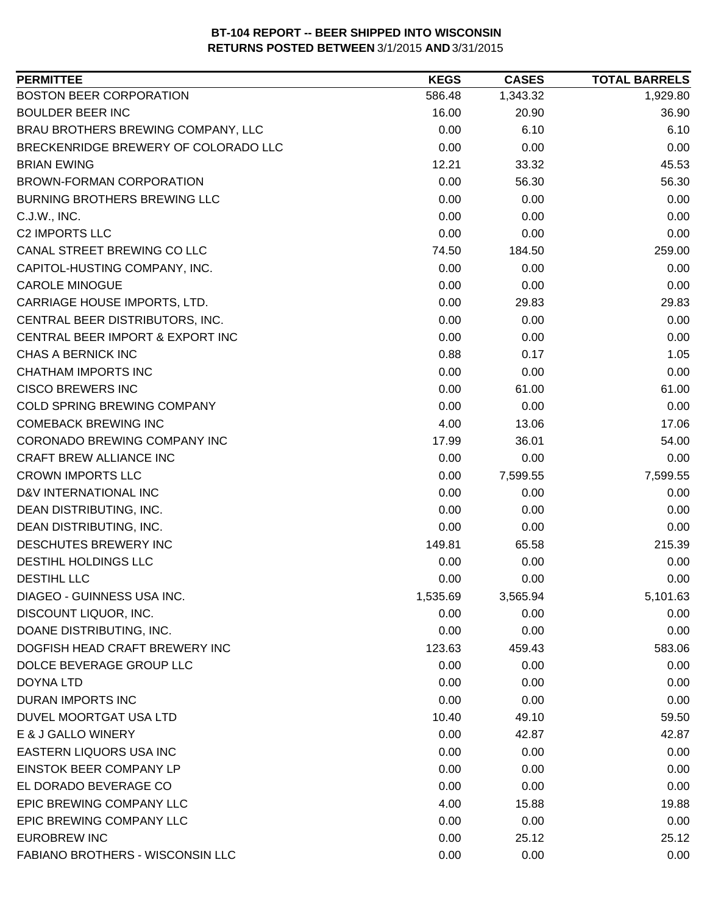| <b>PERMITTEE</b>                     | <b>KEGS</b> | <b>CASES</b> | <b>TOTAL BARRELS</b> |
|--------------------------------------|-------------|--------------|----------------------|
| <b>BOSTON BEER CORPORATION</b>       | 586.48      | 1,343.32     | 1,929.80             |
| <b>BOULDER BEER INC</b>              | 16.00       | 20.90        | 36.90                |
| BRAU BROTHERS BREWING COMPANY, LLC   | 0.00        | 6.10         | 6.10                 |
| BRECKENRIDGE BREWERY OF COLORADO LLC | 0.00        | 0.00         | 0.00                 |
| <b>BRIAN EWING</b>                   | 12.21       | 33.32        | 45.53                |
| BROWN-FORMAN CORPORATION             | 0.00        | 56.30        | 56.30                |
| <b>BURNING BROTHERS BREWING LLC</b>  | 0.00        | 0.00         | 0.00                 |
| C.J.W., INC.                         | 0.00        | 0.00         | 0.00                 |
| <b>C2 IMPORTS LLC</b>                | 0.00        | 0.00         | 0.00                 |
| CANAL STREET BREWING CO LLC          | 74.50       | 184.50       | 259.00               |
| CAPITOL-HUSTING COMPANY, INC.        | 0.00        | 0.00         | 0.00                 |
| <b>CAROLE MINOGUE</b>                | 0.00        | 0.00         | 0.00                 |
| CARRIAGE HOUSE IMPORTS, LTD.         | 0.00        | 29.83        | 29.83                |
| CENTRAL BEER DISTRIBUTORS, INC.      | 0.00        | 0.00         | 0.00                 |
| CENTRAL BEER IMPORT & EXPORT INC     | 0.00        | 0.00         | 0.00                 |
| <b>CHAS A BERNICK INC</b>            | 0.88        | 0.17         | 1.05                 |
| <b>CHATHAM IMPORTS INC</b>           | 0.00        | 0.00         | 0.00                 |
| <b>CISCO BREWERS INC</b>             | 0.00        | 61.00        | 61.00                |
| COLD SPRING BREWING COMPANY          | 0.00        | 0.00         | 0.00                 |
| <b>COMEBACK BREWING INC</b>          | 4.00        | 13.06        | 17.06                |
| CORONADO BREWING COMPANY INC         | 17.99       | 36.01        | 54.00                |
| <b>CRAFT BREW ALLIANCE INC</b>       | 0.00        | 0.00         | 0.00                 |
| <b>CROWN IMPORTS LLC</b>             | 0.00        | 7,599.55     | 7,599.55             |
| D&V INTERNATIONAL INC                | 0.00        | 0.00         | 0.00                 |
| DEAN DISTRIBUTING, INC.              | 0.00        | 0.00         | 0.00                 |
| DEAN DISTRIBUTING, INC.              | 0.00        | 0.00         | 0.00                 |
| DESCHUTES BREWERY INC                | 149.81      | 65.58        | 215.39               |
| DESTIHL HOLDINGS LLC                 | 0.00        | 0.00         | 0.00                 |
| <b>DESTIHL LLC</b>                   | 0.00        | 0.00         | 0.00                 |
| DIAGEO - GUINNESS USA INC.           | 1,535.69    | 3,565.94     | 5,101.63             |
| DISCOUNT LIQUOR, INC.                | 0.00        | 0.00         | 0.00                 |
| DOANE DISTRIBUTING, INC.             | 0.00        | 0.00         | 0.00                 |
| DOGFISH HEAD CRAFT BREWERY INC       | 123.63      | 459.43       | 583.06               |
| DOLCE BEVERAGE GROUP LLC             | 0.00        | 0.00         | 0.00                 |
| <b>DOYNA LTD</b>                     | 0.00        | 0.00         | 0.00                 |
| DURAN IMPORTS INC                    | 0.00        | 0.00         | 0.00                 |
| DUVEL MOORTGAT USA LTD               | 10.40       | 49.10        | 59.50                |
| E & J GALLO WINERY                   | 0.00        | 42.87        | 42.87                |
| EASTERN LIQUORS USA INC              | 0.00        | 0.00         | 0.00                 |
| EINSTOK BEER COMPANY LP              | 0.00        | 0.00         | 0.00                 |
| EL DORADO BEVERAGE CO                | 0.00        | 0.00         | 0.00                 |
| EPIC BREWING COMPANY LLC             | 4.00        | 15.88        | 19.88                |
| EPIC BREWING COMPANY LLC             | 0.00        | 0.00         | 0.00                 |
| <b>EUROBREW INC</b>                  | 0.00        | 25.12        | 25.12                |
| FABIANO BROTHERS - WISCONSIN LLC     | 0.00        | 0.00         | 0.00                 |
|                                      |             |              |                      |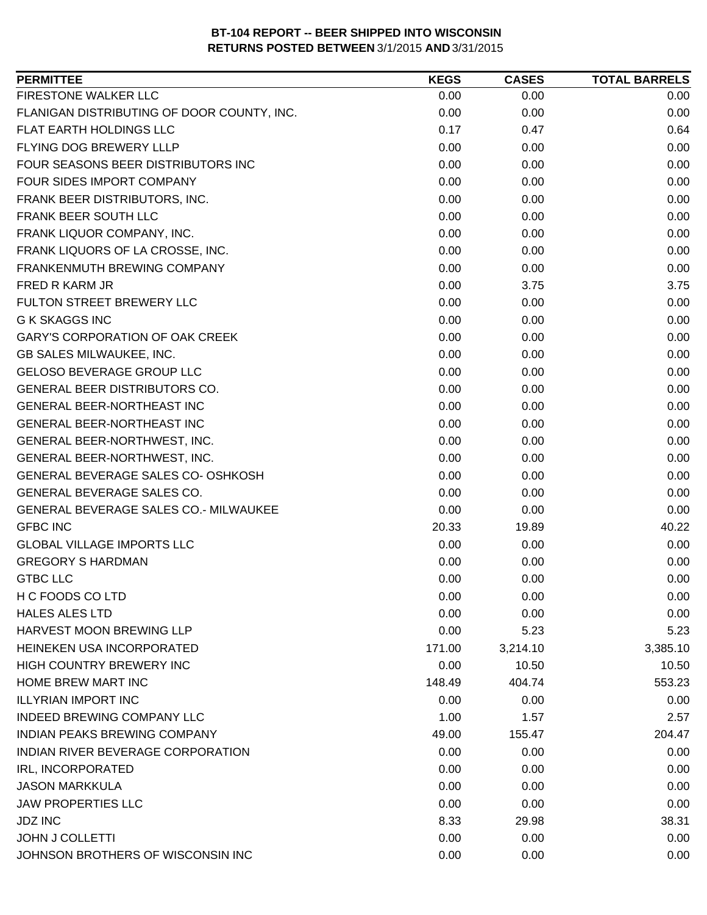| FIRESTONE WALKER LLC<br>0.00<br>0.00<br>0.00<br>FLANIGAN DISTRIBUTING OF DOOR COUNTY, INC.<br>0.00<br>0.00<br>0.00<br><b>FLAT EARTH HOLDINGS LLC</b><br>0.17<br>0.47<br>0.64<br>FLYING DOG BREWERY LLLP<br>0.00<br>0.00<br>0.00<br>FOUR SEASONS BEER DISTRIBUTORS INC<br>0.00<br>0.00<br>0.00<br>FOUR SIDES IMPORT COMPANY<br>0.00<br>0.00<br>0.00<br>0.00<br>0.00<br>FRANK BEER DISTRIBUTORS, INC.<br>0.00<br><b>FRANK BEER SOUTH LLC</b><br>0.00<br>0.00<br>0.00<br>FRANK LIQUOR COMPANY, INC.<br>0.00<br>0.00<br>0.00<br>FRANK LIQUORS OF LA CROSSE, INC.<br>0.00<br>0.00<br>0.00<br>0.00<br>FRANKENMUTH BREWING COMPANY<br>0.00<br>0.00<br>0.00<br>3.75<br>FRED R KARM JR<br>3.75<br>FULTON STREET BREWERY LLC<br>0.00<br>0.00<br>0.00<br><b>G K SKAGGS INC</b><br>0.00<br>0.00<br>0.00<br><b>GARY'S CORPORATION OF OAK CREEK</b><br>0.00<br>0.00<br>0.00<br>0.00<br>0.00<br><b>GB SALES MILWAUKEE, INC.</b><br>0.00<br><b>GELOSO BEVERAGE GROUP LLC</b><br>0.00<br>0.00<br>0.00<br><b>GENERAL BEER DISTRIBUTORS CO.</b><br>0.00<br>0.00<br>0.00<br>GENERAL BEER-NORTHEAST INC<br>0.00<br>0.00<br>0.00<br>0.00<br><b>GENERAL BEER-NORTHEAST INC</b><br>0.00<br>0.00<br>0.00<br>0.00<br>0.00<br>GENERAL BEER-NORTHWEST, INC. |
|---------------------------------------------------------------------------------------------------------------------------------------------------------------------------------------------------------------------------------------------------------------------------------------------------------------------------------------------------------------------------------------------------------------------------------------------------------------------------------------------------------------------------------------------------------------------------------------------------------------------------------------------------------------------------------------------------------------------------------------------------------------------------------------------------------------------------------------------------------------------------------------------------------------------------------------------------------------------------------------------------------------------------------------------------------------------------------------------------------------------------------------------------------------------------------------------------------------------------------|
|                                                                                                                                                                                                                                                                                                                                                                                                                                                                                                                                                                                                                                                                                                                                                                                                                                                                                                                                                                                                                                                                                                                                                                                                                                 |
|                                                                                                                                                                                                                                                                                                                                                                                                                                                                                                                                                                                                                                                                                                                                                                                                                                                                                                                                                                                                                                                                                                                                                                                                                                 |
|                                                                                                                                                                                                                                                                                                                                                                                                                                                                                                                                                                                                                                                                                                                                                                                                                                                                                                                                                                                                                                                                                                                                                                                                                                 |
|                                                                                                                                                                                                                                                                                                                                                                                                                                                                                                                                                                                                                                                                                                                                                                                                                                                                                                                                                                                                                                                                                                                                                                                                                                 |
|                                                                                                                                                                                                                                                                                                                                                                                                                                                                                                                                                                                                                                                                                                                                                                                                                                                                                                                                                                                                                                                                                                                                                                                                                                 |
|                                                                                                                                                                                                                                                                                                                                                                                                                                                                                                                                                                                                                                                                                                                                                                                                                                                                                                                                                                                                                                                                                                                                                                                                                                 |
|                                                                                                                                                                                                                                                                                                                                                                                                                                                                                                                                                                                                                                                                                                                                                                                                                                                                                                                                                                                                                                                                                                                                                                                                                                 |
|                                                                                                                                                                                                                                                                                                                                                                                                                                                                                                                                                                                                                                                                                                                                                                                                                                                                                                                                                                                                                                                                                                                                                                                                                                 |
|                                                                                                                                                                                                                                                                                                                                                                                                                                                                                                                                                                                                                                                                                                                                                                                                                                                                                                                                                                                                                                                                                                                                                                                                                                 |
|                                                                                                                                                                                                                                                                                                                                                                                                                                                                                                                                                                                                                                                                                                                                                                                                                                                                                                                                                                                                                                                                                                                                                                                                                                 |
|                                                                                                                                                                                                                                                                                                                                                                                                                                                                                                                                                                                                                                                                                                                                                                                                                                                                                                                                                                                                                                                                                                                                                                                                                                 |
|                                                                                                                                                                                                                                                                                                                                                                                                                                                                                                                                                                                                                                                                                                                                                                                                                                                                                                                                                                                                                                                                                                                                                                                                                                 |
|                                                                                                                                                                                                                                                                                                                                                                                                                                                                                                                                                                                                                                                                                                                                                                                                                                                                                                                                                                                                                                                                                                                                                                                                                                 |
|                                                                                                                                                                                                                                                                                                                                                                                                                                                                                                                                                                                                                                                                                                                                                                                                                                                                                                                                                                                                                                                                                                                                                                                                                                 |
|                                                                                                                                                                                                                                                                                                                                                                                                                                                                                                                                                                                                                                                                                                                                                                                                                                                                                                                                                                                                                                                                                                                                                                                                                                 |
|                                                                                                                                                                                                                                                                                                                                                                                                                                                                                                                                                                                                                                                                                                                                                                                                                                                                                                                                                                                                                                                                                                                                                                                                                                 |
|                                                                                                                                                                                                                                                                                                                                                                                                                                                                                                                                                                                                                                                                                                                                                                                                                                                                                                                                                                                                                                                                                                                                                                                                                                 |
|                                                                                                                                                                                                                                                                                                                                                                                                                                                                                                                                                                                                                                                                                                                                                                                                                                                                                                                                                                                                                                                                                                                                                                                                                                 |
|                                                                                                                                                                                                                                                                                                                                                                                                                                                                                                                                                                                                                                                                                                                                                                                                                                                                                                                                                                                                                                                                                                                                                                                                                                 |
|                                                                                                                                                                                                                                                                                                                                                                                                                                                                                                                                                                                                                                                                                                                                                                                                                                                                                                                                                                                                                                                                                                                                                                                                                                 |
|                                                                                                                                                                                                                                                                                                                                                                                                                                                                                                                                                                                                                                                                                                                                                                                                                                                                                                                                                                                                                                                                                                                                                                                                                                 |
| GENERAL BEER-NORTHWEST, INC.<br>0.00<br>0.00<br>0.00                                                                                                                                                                                                                                                                                                                                                                                                                                                                                                                                                                                                                                                                                                                                                                                                                                                                                                                                                                                                                                                                                                                                                                            |
| GENERAL BEVERAGE SALES CO- OSHKOSH<br>0.00<br>0.00<br>0.00                                                                                                                                                                                                                                                                                                                                                                                                                                                                                                                                                                                                                                                                                                                                                                                                                                                                                                                                                                                                                                                                                                                                                                      |
| GENERAL BEVERAGE SALES CO.<br>0.00<br>0.00<br>0.00                                                                                                                                                                                                                                                                                                                                                                                                                                                                                                                                                                                                                                                                                                                                                                                                                                                                                                                                                                                                                                                                                                                                                                              |
| GENERAL BEVERAGE SALES CO.- MILWAUKEE<br>0.00<br>0.00<br>0.00                                                                                                                                                                                                                                                                                                                                                                                                                                                                                                                                                                                                                                                                                                                                                                                                                                                                                                                                                                                                                                                                                                                                                                   |
| <b>GFBC INC</b><br>40.22<br>20.33<br>19.89                                                                                                                                                                                                                                                                                                                                                                                                                                                                                                                                                                                                                                                                                                                                                                                                                                                                                                                                                                                                                                                                                                                                                                                      |
| <b>GLOBAL VILLAGE IMPORTS LLC</b><br>0.00<br>0.00<br>0.00                                                                                                                                                                                                                                                                                                                                                                                                                                                                                                                                                                                                                                                                                                                                                                                                                                                                                                                                                                                                                                                                                                                                                                       |
| <b>GREGORY S HARDMAN</b><br>0.00<br>0.00<br>0.00                                                                                                                                                                                                                                                                                                                                                                                                                                                                                                                                                                                                                                                                                                                                                                                                                                                                                                                                                                                                                                                                                                                                                                                |
| <b>GTBC LLC</b><br>0.00<br>0.00<br>0.00                                                                                                                                                                                                                                                                                                                                                                                                                                                                                                                                                                                                                                                                                                                                                                                                                                                                                                                                                                                                                                                                                                                                                                                         |
| H C FOODS CO LTD<br>0.00<br>0.00<br>0.00                                                                                                                                                                                                                                                                                                                                                                                                                                                                                                                                                                                                                                                                                                                                                                                                                                                                                                                                                                                                                                                                                                                                                                                        |
| <b>HALES ALES LTD</b><br>0.00<br>0.00<br>0.00                                                                                                                                                                                                                                                                                                                                                                                                                                                                                                                                                                                                                                                                                                                                                                                                                                                                                                                                                                                                                                                                                                                                                                                   |
| HARVEST MOON BREWING LLP<br>0.00<br>5.23<br>5.23                                                                                                                                                                                                                                                                                                                                                                                                                                                                                                                                                                                                                                                                                                                                                                                                                                                                                                                                                                                                                                                                                                                                                                                |
| HEINEKEN USA INCORPORATED<br>171.00<br>3,385.10<br>3,214.10                                                                                                                                                                                                                                                                                                                                                                                                                                                                                                                                                                                                                                                                                                                                                                                                                                                                                                                                                                                                                                                                                                                                                                     |
| HIGH COUNTRY BREWERY INC<br>0.00<br>10.50<br>10.50                                                                                                                                                                                                                                                                                                                                                                                                                                                                                                                                                                                                                                                                                                                                                                                                                                                                                                                                                                                                                                                                                                                                                                              |
| HOME BREW MART INC<br>553.23<br>148.49<br>404.74                                                                                                                                                                                                                                                                                                                                                                                                                                                                                                                                                                                                                                                                                                                                                                                                                                                                                                                                                                                                                                                                                                                                                                                |
| <b>ILLYRIAN IMPORT INC</b><br>0.00<br>0.00<br>0.00                                                                                                                                                                                                                                                                                                                                                                                                                                                                                                                                                                                                                                                                                                                                                                                                                                                                                                                                                                                                                                                                                                                                                                              |
| <b>INDEED BREWING COMPANY LLC</b><br>1.00<br>1.57<br>2.57                                                                                                                                                                                                                                                                                                                                                                                                                                                                                                                                                                                                                                                                                                                                                                                                                                                                                                                                                                                                                                                                                                                                                                       |
| 204.47<br><b>INDIAN PEAKS BREWING COMPANY</b><br>49.00<br>155.47                                                                                                                                                                                                                                                                                                                                                                                                                                                                                                                                                                                                                                                                                                                                                                                                                                                                                                                                                                                                                                                                                                                                                                |
| INDIAN RIVER BEVERAGE CORPORATION<br>0.00<br>0.00<br>0.00                                                                                                                                                                                                                                                                                                                                                                                                                                                                                                                                                                                                                                                                                                                                                                                                                                                                                                                                                                                                                                                                                                                                                                       |
| IRL, INCORPORATED<br>0.00<br>0.00<br>0.00                                                                                                                                                                                                                                                                                                                                                                                                                                                                                                                                                                                                                                                                                                                                                                                                                                                                                                                                                                                                                                                                                                                                                                                       |
| <b>JASON MARKKULA</b><br>0.00<br>0.00<br>0.00                                                                                                                                                                                                                                                                                                                                                                                                                                                                                                                                                                                                                                                                                                                                                                                                                                                                                                                                                                                                                                                                                                                                                                                   |
| <b>JAW PROPERTIES LLC</b><br>0.00<br>0.00<br>0.00                                                                                                                                                                                                                                                                                                                                                                                                                                                                                                                                                                                                                                                                                                                                                                                                                                                                                                                                                                                                                                                                                                                                                                               |
| <b>JDZ INC</b><br>8.33<br>29.98<br>38.31                                                                                                                                                                                                                                                                                                                                                                                                                                                                                                                                                                                                                                                                                                                                                                                                                                                                                                                                                                                                                                                                                                                                                                                        |
| <b>JOHN J COLLETTI</b><br>0.00<br>0.00<br>0.00                                                                                                                                                                                                                                                                                                                                                                                                                                                                                                                                                                                                                                                                                                                                                                                                                                                                                                                                                                                                                                                                                                                                                                                  |
| JOHNSON BROTHERS OF WISCONSIN INC<br>0.00<br>0.00<br>0.00                                                                                                                                                                                                                                                                                                                                                                                                                                                                                                                                                                                                                                                                                                                                                                                                                                                                                                                                                                                                                                                                                                                                                                       |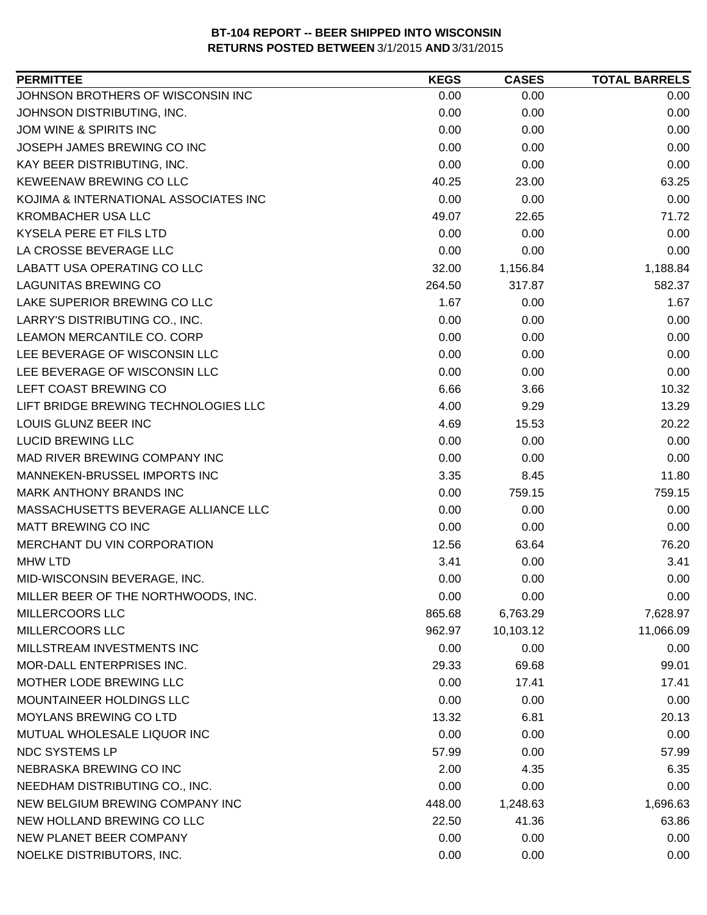| JOHNSON BROTHERS OF WISCONSIN INC<br>0.00<br>0.00<br>0.00<br>JOHNSON DISTRIBUTING, INC.<br>0.00<br>0.00<br>0.00<br>JOM WINE & SPIRITS INC<br>0.00<br>0.00<br>0.00<br>JOSEPH JAMES BREWING CO INC<br>0.00<br>0.00<br>0.00<br>0.00<br>0.00<br>KAY BEER DISTRIBUTING, INC.<br>0.00<br>KEWEENAW BREWING CO LLC<br>40.25<br>23.00<br>63.25<br>KOJIMA & INTERNATIONAL ASSOCIATES INC<br>0.00<br>0.00<br>0.00<br><b>KROMBACHER USA LLC</b><br>71.72<br>49.07<br>22.65<br>KYSELA PERE ET FILS LTD<br>0.00<br>0.00<br>0.00<br>LA CROSSE BEVERAGE LLC<br>0.00<br>0.00<br>0.00<br>LABATT USA OPERATING CO LLC<br>32.00<br>1,156.84<br>1,188.84<br><b>LAGUNITAS BREWING CO</b><br>264.50<br>317.87<br>582.37<br>LAKE SUPERIOR BREWING CO LLC<br>1.67<br>0.00<br>1.67<br>LARRY'S DISTRIBUTING CO., INC.<br>0.00<br>0.00<br>0.00<br>LEAMON MERCANTILE CO. CORP<br>0.00<br>0.00<br>0.00<br>LEE BEVERAGE OF WISCONSIN LLC<br>0.00<br>0.00<br>0.00<br>LEE BEVERAGE OF WISCONSIN LLC<br>0.00<br>0.00<br>0.00<br>LEFT COAST BREWING CO<br>6.66<br>3.66<br>10.32<br>LIFT BRIDGE BREWING TECHNOLOGIES LLC<br>4.00<br>9.29<br>13.29<br>LOUIS GLUNZ BEER INC<br>4.69<br>20.22<br>15.53<br>0.00<br><b>LUCID BREWING LLC</b><br>0.00<br>0.00<br>MAD RIVER BREWING COMPANY INC<br>0.00<br>0.00<br>0.00<br>MANNEKEN-BRUSSEL IMPORTS INC<br>11.80<br>3.35<br>8.45<br><b>MARK ANTHONY BRANDS INC</b><br>0.00<br>759.15<br>759.15 |
|-----------------------------------------------------------------------------------------------------------------------------------------------------------------------------------------------------------------------------------------------------------------------------------------------------------------------------------------------------------------------------------------------------------------------------------------------------------------------------------------------------------------------------------------------------------------------------------------------------------------------------------------------------------------------------------------------------------------------------------------------------------------------------------------------------------------------------------------------------------------------------------------------------------------------------------------------------------------------------------------------------------------------------------------------------------------------------------------------------------------------------------------------------------------------------------------------------------------------------------------------------------------------------------------------------------------------------------------------------------------------------------------------------|
|                                                                                                                                                                                                                                                                                                                                                                                                                                                                                                                                                                                                                                                                                                                                                                                                                                                                                                                                                                                                                                                                                                                                                                                                                                                                                                                                                                                                     |
|                                                                                                                                                                                                                                                                                                                                                                                                                                                                                                                                                                                                                                                                                                                                                                                                                                                                                                                                                                                                                                                                                                                                                                                                                                                                                                                                                                                                     |
|                                                                                                                                                                                                                                                                                                                                                                                                                                                                                                                                                                                                                                                                                                                                                                                                                                                                                                                                                                                                                                                                                                                                                                                                                                                                                                                                                                                                     |
|                                                                                                                                                                                                                                                                                                                                                                                                                                                                                                                                                                                                                                                                                                                                                                                                                                                                                                                                                                                                                                                                                                                                                                                                                                                                                                                                                                                                     |
|                                                                                                                                                                                                                                                                                                                                                                                                                                                                                                                                                                                                                                                                                                                                                                                                                                                                                                                                                                                                                                                                                                                                                                                                                                                                                                                                                                                                     |
|                                                                                                                                                                                                                                                                                                                                                                                                                                                                                                                                                                                                                                                                                                                                                                                                                                                                                                                                                                                                                                                                                                                                                                                                                                                                                                                                                                                                     |
|                                                                                                                                                                                                                                                                                                                                                                                                                                                                                                                                                                                                                                                                                                                                                                                                                                                                                                                                                                                                                                                                                                                                                                                                                                                                                                                                                                                                     |
|                                                                                                                                                                                                                                                                                                                                                                                                                                                                                                                                                                                                                                                                                                                                                                                                                                                                                                                                                                                                                                                                                                                                                                                                                                                                                                                                                                                                     |
|                                                                                                                                                                                                                                                                                                                                                                                                                                                                                                                                                                                                                                                                                                                                                                                                                                                                                                                                                                                                                                                                                                                                                                                                                                                                                                                                                                                                     |
|                                                                                                                                                                                                                                                                                                                                                                                                                                                                                                                                                                                                                                                                                                                                                                                                                                                                                                                                                                                                                                                                                                                                                                                                                                                                                                                                                                                                     |
|                                                                                                                                                                                                                                                                                                                                                                                                                                                                                                                                                                                                                                                                                                                                                                                                                                                                                                                                                                                                                                                                                                                                                                                                                                                                                                                                                                                                     |
|                                                                                                                                                                                                                                                                                                                                                                                                                                                                                                                                                                                                                                                                                                                                                                                                                                                                                                                                                                                                                                                                                                                                                                                                                                                                                                                                                                                                     |
|                                                                                                                                                                                                                                                                                                                                                                                                                                                                                                                                                                                                                                                                                                                                                                                                                                                                                                                                                                                                                                                                                                                                                                                                                                                                                                                                                                                                     |
|                                                                                                                                                                                                                                                                                                                                                                                                                                                                                                                                                                                                                                                                                                                                                                                                                                                                                                                                                                                                                                                                                                                                                                                                                                                                                                                                                                                                     |
|                                                                                                                                                                                                                                                                                                                                                                                                                                                                                                                                                                                                                                                                                                                                                                                                                                                                                                                                                                                                                                                                                                                                                                                                                                                                                                                                                                                                     |
|                                                                                                                                                                                                                                                                                                                                                                                                                                                                                                                                                                                                                                                                                                                                                                                                                                                                                                                                                                                                                                                                                                                                                                                                                                                                                                                                                                                                     |
|                                                                                                                                                                                                                                                                                                                                                                                                                                                                                                                                                                                                                                                                                                                                                                                                                                                                                                                                                                                                                                                                                                                                                                                                                                                                                                                                                                                                     |
|                                                                                                                                                                                                                                                                                                                                                                                                                                                                                                                                                                                                                                                                                                                                                                                                                                                                                                                                                                                                                                                                                                                                                                                                                                                                                                                                                                                                     |
|                                                                                                                                                                                                                                                                                                                                                                                                                                                                                                                                                                                                                                                                                                                                                                                                                                                                                                                                                                                                                                                                                                                                                                                                                                                                                                                                                                                                     |
|                                                                                                                                                                                                                                                                                                                                                                                                                                                                                                                                                                                                                                                                                                                                                                                                                                                                                                                                                                                                                                                                                                                                                                                                                                                                                                                                                                                                     |
|                                                                                                                                                                                                                                                                                                                                                                                                                                                                                                                                                                                                                                                                                                                                                                                                                                                                                                                                                                                                                                                                                                                                                                                                                                                                                                                                                                                                     |
|                                                                                                                                                                                                                                                                                                                                                                                                                                                                                                                                                                                                                                                                                                                                                                                                                                                                                                                                                                                                                                                                                                                                                                                                                                                                                                                                                                                                     |
|                                                                                                                                                                                                                                                                                                                                                                                                                                                                                                                                                                                                                                                                                                                                                                                                                                                                                                                                                                                                                                                                                                                                                                                                                                                                                                                                                                                                     |
|                                                                                                                                                                                                                                                                                                                                                                                                                                                                                                                                                                                                                                                                                                                                                                                                                                                                                                                                                                                                                                                                                                                                                                                                                                                                                                                                                                                                     |
| 0.00<br>0.00<br>0.00<br>MASSACHUSETTS BEVERAGE ALLIANCE LLC                                                                                                                                                                                                                                                                                                                                                                                                                                                                                                                                                                                                                                                                                                                                                                                                                                                                                                                                                                                                                                                                                                                                                                                                                                                                                                                                         |
| MATT BREWING CO INC<br>0.00<br>0.00<br>0.00                                                                                                                                                                                                                                                                                                                                                                                                                                                                                                                                                                                                                                                                                                                                                                                                                                                                                                                                                                                                                                                                                                                                                                                                                                                                                                                                                         |
| MERCHANT DU VIN CORPORATION<br>76.20<br>12.56<br>63.64                                                                                                                                                                                                                                                                                                                                                                                                                                                                                                                                                                                                                                                                                                                                                                                                                                                                                                                                                                                                                                                                                                                                                                                                                                                                                                                                              |
| 3.41<br><b>MHW LTD</b><br>3.41<br>0.00                                                                                                                                                                                                                                                                                                                                                                                                                                                                                                                                                                                                                                                                                                                                                                                                                                                                                                                                                                                                                                                                                                                                                                                                                                                                                                                                                              |
| 0.00<br>0.00<br>0.00<br>MID-WISCONSIN BEVERAGE, INC.                                                                                                                                                                                                                                                                                                                                                                                                                                                                                                                                                                                                                                                                                                                                                                                                                                                                                                                                                                                                                                                                                                                                                                                                                                                                                                                                                |
| MILLER BEER OF THE NORTHWOODS, INC.<br>0.00<br>0.00<br>0.00                                                                                                                                                                                                                                                                                                                                                                                                                                                                                                                                                                                                                                                                                                                                                                                                                                                                                                                                                                                                                                                                                                                                                                                                                                                                                                                                         |
| 865.68<br>6,763.29<br>7,628.97<br><b>MILLERCOORS LLC</b>                                                                                                                                                                                                                                                                                                                                                                                                                                                                                                                                                                                                                                                                                                                                                                                                                                                                                                                                                                                                                                                                                                                                                                                                                                                                                                                                            |
| <b>MILLERCOORS LLC</b><br>11,066.09<br>962.97<br>10,103.12                                                                                                                                                                                                                                                                                                                                                                                                                                                                                                                                                                                                                                                                                                                                                                                                                                                                                                                                                                                                                                                                                                                                                                                                                                                                                                                                          |
| MILLSTREAM INVESTMENTS INC<br>0.00<br>0.00<br>0.00                                                                                                                                                                                                                                                                                                                                                                                                                                                                                                                                                                                                                                                                                                                                                                                                                                                                                                                                                                                                                                                                                                                                                                                                                                                                                                                                                  |
| MOR-DALL ENTERPRISES INC.<br>29.33<br>69.68<br>99.01                                                                                                                                                                                                                                                                                                                                                                                                                                                                                                                                                                                                                                                                                                                                                                                                                                                                                                                                                                                                                                                                                                                                                                                                                                                                                                                                                |
| MOTHER LODE BREWING LLC<br>0.00<br>17.41<br>17.41                                                                                                                                                                                                                                                                                                                                                                                                                                                                                                                                                                                                                                                                                                                                                                                                                                                                                                                                                                                                                                                                                                                                                                                                                                                                                                                                                   |
| MOUNTAINEER HOLDINGS LLC<br>0.00<br>0.00<br>0.00                                                                                                                                                                                                                                                                                                                                                                                                                                                                                                                                                                                                                                                                                                                                                                                                                                                                                                                                                                                                                                                                                                                                                                                                                                                                                                                                                    |
| <b>MOYLANS BREWING CO LTD</b><br>6.81<br>20.13<br>13.32                                                                                                                                                                                                                                                                                                                                                                                                                                                                                                                                                                                                                                                                                                                                                                                                                                                                                                                                                                                                                                                                                                                                                                                                                                                                                                                                             |
| MUTUAL WHOLESALE LIQUOR INC<br>0.00<br>0.00<br>0.00                                                                                                                                                                                                                                                                                                                                                                                                                                                                                                                                                                                                                                                                                                                                                                                                                                                                                                                                                                                                                                                                                                                                                                                                                                                                                                                                                 |
| NDC SYSTEMS LP<br>57.99<br>0.00<br>57.99                                                                                                                                                                                                                                                                                                                                                                                                                                                                                                                                                                                                                                                                                                                                                                                                                                                                                                                                                                                                                                                                                                                                                                                                                                                                                                                                                            |
| NEBRASKA BREWING CO INC<br>2.00<br>4.35<br>6.35                                                                                                                                                                                                                                                                                                                                                                                                                                                                                                                                                                                                                                                                                                                                                                                                                                                                                                                                                                                                                                                                                                                                                                                                                                                                                                                                                     |
| NEEDHAM DISTRIBUTING CO., INC.<br>0.00<br>0.00<br>0.00                                                                                                                                                                                                                                                                                                                                                                                                                                                                                                                                                                                                                                                                                                                                                                                                                                                                                                                                                                                                                                                                                                                                                                                                                                                                                                                                              |
| NEW BELGIUM BREWING COMPANY INC<br>1,248.63<br>1,696.63<br>448.00                                                                                                                                                                                                                                                                                                                                                                                                                                                                                                                                                                                                                                                                                                                                                                                                                                                                                                                                                                                                                                                                                                                                                                                                                                                                                                                                   |
| NEW HOLLAND BREWING CO LLC<br>22.50<br>41.36<br>63.86                                                                                                                                                                                                                                                                                                                                                                                                                                                                                                                                                                                                                                                                                                                                                                                                                                                                                                                                                                                                                                                                                                                                                                                                                                                                                                                                               |
| NEW PLANET BEER COMPANY<br>0.00<br>0.00<br>0.00                                                                                                                                                                                                                                                                                                                                                                                                                                                                                                                                                                                                                                                                                                                                                                                                                                                                                                                                                                                                                                                                                                                                                                                                                                                                                                                                                     |
| NOELKE DISTRIBUTORS, INC.<br>0.00<br>0.00<br>0.00                                                                                                                                                                                                                                                                                                                                                                                                                                                                                                                                                                                                                                                                                                                                                                                                                                                                                                                                                                                                                                                                                                                                                                                                                                                                                                                                                   |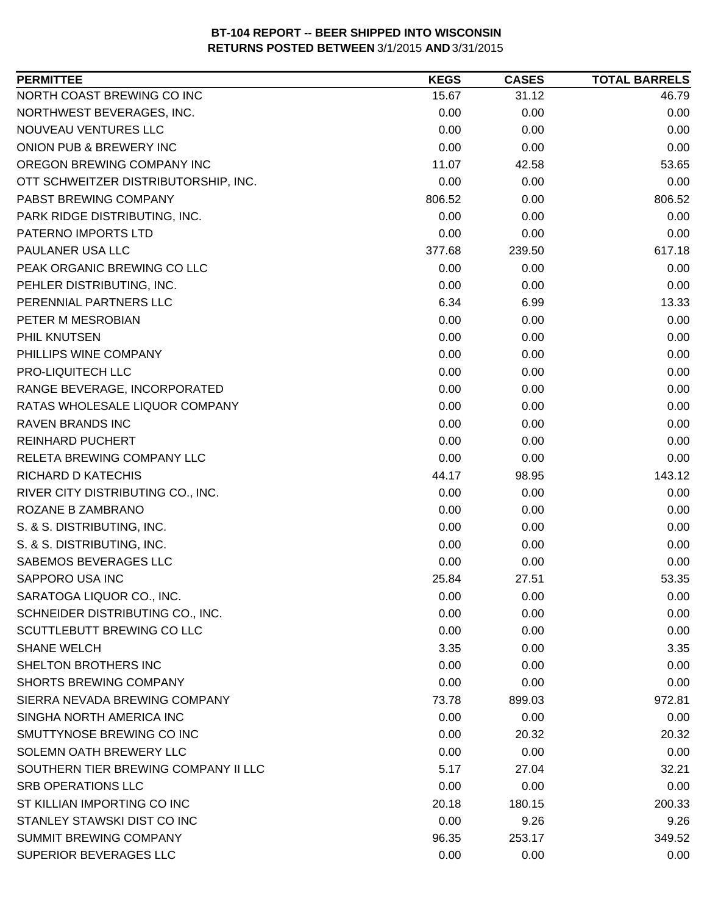| <b>PERMITTEE</b>                     | <b>KEGS</b> | <b>CASES</b> | <b>TOTAL BARRELS</b> |
|--------------------------------------|-------------|--------------|----------------------|
| NORTH COAST BREWING CO INC           | 15.67       | 31.12        | 46.79                |
| NORTHWEST BEVERAGES, INC.            | 0.00        | 0.00         | 0.00                 |
| NOUVEAU VENTURES LLC                 | 0.00        | 0.00         | 0.00                 |
| ONION PUB & BREWERY INC              | 0.00        | 0.00         | 0.00                 |
| OREGON BREWING COMPANY INC           | 11.07       | 42.58        | 53.65                |
| OTT SCHWEITZER DISTRIBUTORSHIP, INC. | 0.00        | 0.00         | 0.00                 |
| PABST BREWING COMPANY                | 806.52      | 0.00         | 806.52               |
| PARK RIDGE DISTRIBUTING, INC.        | 0.00        | 0.00         | 0.00                 |
| PATERNO IMPORTS LTD                  | 0.00        | 0.00         | 0.00                 |
| PAULANER USA LLC                     | 377.68      | 239.50       | 617.18               |
| PEAK ORGANIC BREWING CO LLC          | 0.00        | 0.00         | 0.00                 |
| PEHLER DISTRIBUTING, INC.            | 0.00        | 0.00         | 0.00                 |
| PERENNIAL PARTNERS LLC               | 6.34        | 6.99         | 13.33                |
| PETER M MESROBIAN                    | 0.00        | 0.00         | 0.00                 |
| PHIL KNUTSEN                         | 0.00        | 0.00         | 0.00                 |
| PHILLIPS WINE COMPANY                | 0.00        | 0.00         | 0.00                 |
| PRO-LIQUITECH LLC                    | 0.00        | 0.00         | 0.00                 |
| RANGE BEVERAGE, INCORPORATED         | 0.00        | 0.00         | 0.00                 |
| RATAS WHOLESALE LIQUOR COMPANY       | 0.00        | 0.00         | 0.00                 |
| <b>RAVEN BRANDS INC</b>              | 0.00        | 0.00         | 0.00                 |
| <b>REINHARD PUCHERT</b>              | 0.00        | 0.00         | 0.00                 |
| RELETA BREWING COMPANY LLC           | 0.00        | 0.00         | 0.00                 |
| RICHARD D KATECHIS                   | 44.17       | 98.95        | 143.12               |
| RIVER CITY DISTRIBUTING CO., INC.    | 0.00        | 0.00         | 0.00                 |
| ROZANE B ZAMBRANO                    | 0.00        | 0.00         | 0.00                 |
| S. & S. DISTRIBUTING, INC.           | 0.00        | 0.00         | 0.00                 |
| S. & S. DISTRIBUTING, INC.           | 0.00        | 0.00         | 0.00                 |
| SABEMOS BEVERAGES LLC                | 0.00        | 0.00         | 0.00                 |
| SAPPORO USA INC                      | 25.84       | 27.51        | 53.35                |
| SARATOGA LIQUOR CO., INC.            | 0.00        | 0.00         | 0.00                 |
| SCHNEIDER DISTRIBUTING CO., INC.     | 0.00        | 0.00         | 0.00                 |
| SCUTTLEBUTT BREWING CO LLC           | 0.00        | 0.00         | 0.00                 |
| <b>SHANE WELCH</b>                   | 3.35        | 0.00         | 3.35                 |
| SHELTON BROTHERS INC                 | 0.00        | 0.00         | 0.00                 |
| <b>SHORTS BREWING COMPANY</b>        | 0.00        | 0.00         | 0.00                 |
| SIERRA NEVADA BREWING COMPANY        | 73.78       | 899.03       | 972.81               |
| SINGHA NORTH AMERICA INC             | 0.00        | 0.00         | 0.00                 |
| SMUTTYNOSE BREWING CO INC            | 0.00        | 20.32        | 20.32                |
| SOLEMN OATH BREWERY LLC              | 0.00        | 0.00         | 0.00                 |
| SOUTHERN TIER BREWING COMPANY II LLC | 5.17        | 27.04        | 32.21                |
| <b>SRB OPERATIONS LLC</b>            | 0.00        | 0.00         | 0.00                 |
| ST KILLIAN IMPORTING CO INC          | 20.18       | 180.15       | 200.33               |
| STANLEY STAWSKI DIST CO INC          | 0.00        | 9.26         | 9.26                 |
| SUMMIT BREWING COMPANY               | 96.35       | 253.17       | 349.52               |
| SUPERIOR BEVERAGES LLC               | 0.00        | 0.00         | 0.00                 |
|                                      |             |              |                      |